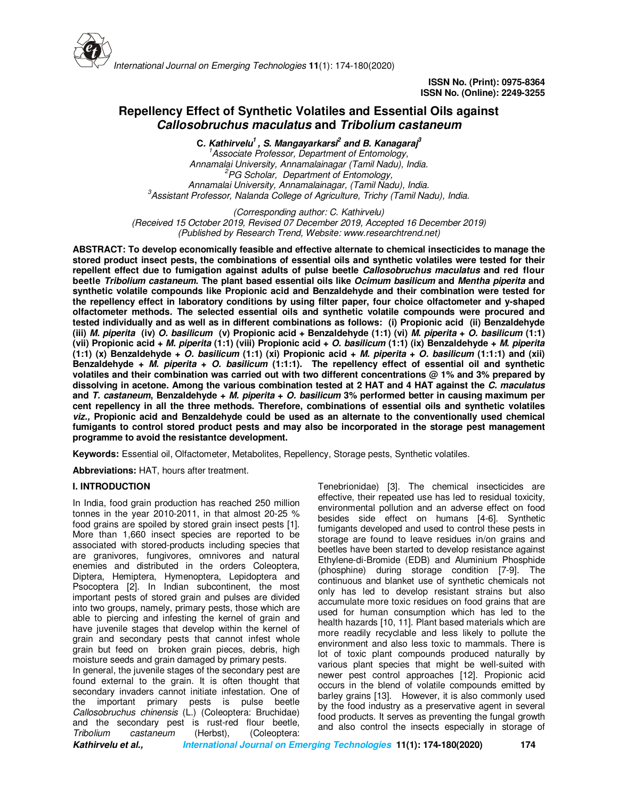

# **Repellency Effect of Synthetic Volatiles and Essential Oils against Callosobruchus maculatus and Tribolium castaneum**

**C. Kathirvelu<sup>1</sup>, S. Mangayarkarsi<sup>2</sup> and B. Kanagaraj<sup>3</sup>** *<sup>1</sup>Associate Professor, Department of Entomology, Annamalai University, Annamalainagar (Tamil Nadu), India. <sup>2</sup>PG Scholar, Department of Entomology, Annamalai University, Annamalainagar, (Tamil Nadu), India. <sup>3</sup>Assistant Professor, Nalanda College of Agriculture, Trichy (Tamil Nadu), India.* 

*(Corresponding author: C. Kathirvelu) (Received 15 October 2019, Revised 07 December 2019, Accepted 16 December 2019) (Published by Research Trend, Website: www.researchtrend.net)*

**ABSTRACT: To develop economically feasible and effective alternate to chemical insecticides to manage the stored product insect pests, the combinations of essential oils and synthetic volatiles were tested for their repellent effect due to fumigation against adults of pulse beetle Callosobruchus maculatus and red flour beetle Tribolium castaneum. The plant based essential oils like Ocimum basilicum and Mentha piperita and synthetic volatile compounds like Propionic acid and Benzaldehyde and their combination were tested for the repellency effect in laboratory conditions by using filter paper, four choice olfactometer and y-shaped olfactometer methods. The selected essential oils and synthetic volatile compounds were procured and tested individually and as well as in different combinations as follows: (i) Propionic acid (ii) Benzaldehyde (iii) M. piperita (iv) O. basilicum (v) Propionic acid + Benzaldehyde (1:1) (vi) M. piperita + O. basilicum (1:1) (vii) Propionic acid + M. piperita (1:1) (viii) Propionic acid + O. basilicum (1:1) (ix) Benzaldehyde + M. piperita (1:1) (x) Benzaldehyde + O. basilicum (1:1) (xi) Propionic acid + M. piperita + O. basilicum (1:1:1) and (xii) Benzaldehyde + M. piperita + O. basilicum (1:1:1). The repellency effect of essential oil and synthetic volatiles and their combination was carried out with two different concentrations @ 1% and 3% prepared by dissolving in acetone. Among the various combination tested at 2 HAT and 4 HAT against the C. maculatus and T. castaneum, Benzaldehyde + M. piperita + O. basilicum 3% performed better in causing maximum per cent repellency in all the three methods. Therefore, combinations of essential oils and synthetic volatiles viz., Propionic acid and Benzaldehyde could be used as an alternate to the conventionally used chemical fumigants to control stored product pests and may also be incorporated in the storage pest management programme to avoid the resistantce development.** 

**Keywords:** Essential oil, Olfactometer, Metabolites, Repellency, Storage pests, Synthetic volatiles.

**Abbreviations:** HAT, hours after treatment.

## **I. INTRODUCTION**

In India, food grain production has reached 250 million tonnes in the year 2010-2011, in that almost 20-25 % food grains are spoiled by stored grain insect pests [1]. More than 1,660 insect species are reported to be associated with stored-products including species that are granivores, fungivores, omnivores and natural enemies and distributed in the orders Coleoptera, Diptera, Hemiptera, Hymenoptera, Lepidoptera and Psocoptera [2]. In Indian subcontinent, the most important pests of stored grain and pulses are divided into two groups, namely, primary pests, those which are able to piercing and infesting the kernel of grain and have juvenile stages that develop within the kernel of grain and secondary pests that cannot infest whole grain but feed on broken grain pieces, debris, high moisture seeds and grain damaged by primary pests. In general, the juvenile stages of the secondary pest are

found external to the grain. It is often thought that secondary invaders cannot initiate infestation. One of the important primary pests is pulse beetle *Callosobruchus chinensis* (L.) (Coleoptera: Bruchidae) and the secondary pest is rust-red flour beetle,<br>
Tribolium castaneum (Herbst), (Coleoptera: *(Herbst), (Coleoptera:* 

Tenebrionidae) [3]. The chemical insecticides are effective, their repeated use has led to residual toxicity, environmental pollution and an adverse effect on food besides side effect on humans [4-6]. Synthetic fumigants developed and used to control these pests in storage are found to leave residues in/on grains and beetles have been started to develop resistance against Ethylene-di-Bromide (EDB) and Aluminium Phosphide (phosphine) during storage condition [7-9]. The continuous and blanket use of synthetic chemicals not only has led to develop resistant strains but also accumulate more toxic residues on food grains that are used for human consumption which has led to the health hazards [10, 11]. Plant based materials which are more readily recyclable and less likely to pollute the environment and also less toxic to mammals. There is lot of toxic plant compounds produced naturally by various plant species that might be well-suited with newer pest control approaches [12]. Propionic acid occurs in the blend of volatile compounds emitted by barley grains [13]. However, it is also commonly used by the food industry as a preservative agent in several food products. It serves as preventing the fungal growth and also control the insects especially in storage of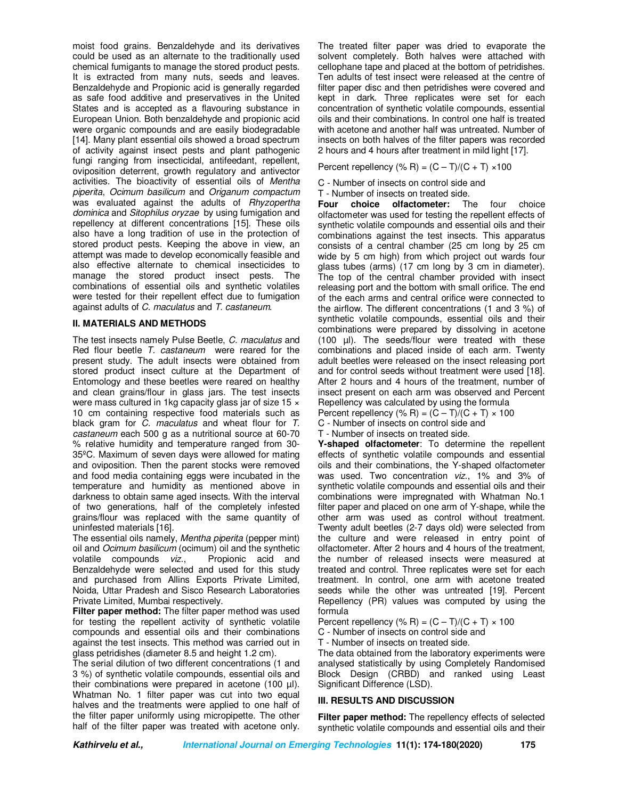moist food grains. Benzaldehyde and its derivatives could be used as an alternate to the traditionally used chemical fumigants to manage the stored product pests. It is extracted from many nuts, seeds and leaves. Benzaldehyde and Propionic acid is generally regarded as safe food additive and preservatives in the United States and is accepted as a flavouring substance in European Union. Both benzaldehyde and propionic acid were organic compounds and are easily biodegradable [14]. Many plant essential oils showed a broad spectrum of activity against insect pests and plant pathogenic fungi ranging from insecticidal, antifeedant, repellent, oviposition deterrent, growth regulatory and antivector activities. The bioactivity of essential oils of *Mentha piperita*, *Ocimum basilicum* and *Origanum compactum* was evaluated against the adults of *Rhyzopertha dominica* and *Sitophilus oryzae* by using fumigation and repellency at different concentrations [15]. These oils also have a long tradition of use in the protection of stored product pests. Keeping the above in view, an attempt was made to develop economically feasible and also effective alternate to chemical insecticides to manage the stored product insect pests. The combinations of essential oils and synthetic volatiles were tested for their repellent effect due to fumigation against adults of *C. maculatus* and *T. castaneum*.

## **II. MATERIALS AND METHODS**

The test insects namely Pulse Beetle, *C. maculatus* and Red flour beetle *T. castaneum* were reared for the present study. The adult insects were obtained from stored product insect culture at the Department of Entomology and these beetles were reared on healthy and clean grains/flour in glass jars. The test insects were mass cultured in 1kg capacity glass jar of size 15  $\times$ 10 cm containing respective food materials such as black gram for *C. maculatus* and wheat flour for *T. castaneum* each 500 g as a nutritional source at 60-70 % relative humidity and temperature ranged from 30- 35ºC. Maximum of seven days were allowed for mating and oviposition. Then the parent stocks were removed and food media containing eggs were incubated in the temperature and humidity as mentioned above in darkness to obtain same aged insects. With the interval of two generations, half of the completely infested grains/flour was replaced with the same quantity of uninfested materials [16].

The essential oils namely, *Mentha piperita* (pepper mint) oil and *Ocimum basilicum* (ocimum) oil and the synthetic<br>volatile compounds viz.. Propionic acid and volatile compounds viz., Benzaldehyde were selected and used for this study and purchased from Allins Exports Private Limited, Noida, Uttar Pradesh and Sisco Research Laboratories Private Limited, Mumbai respectively.

**Filter paper method:** The filter paper method was used for testing the repellent activity of synthetic volatile compounds and essential oils and their combinations against the test insects. This method was carried out in glass petridishes (diameter 8.5 and height 1.2 cm).

The serial dilution of two different concentrations (1 and 3 %) of synthetic volatile compounds, essential oils and their combinations were prepared in acetone (100 µl). Whatman No. 1 filter paper was cut into two equal halves and the treatments were applied to one half of the filter paper uniformly using micropipette. The other half of the filter paper was treated with acetone only.

The treated filter paper was dried to evaporate the solvent completely. Both halves were attached with cellophane tape and placed at the bottom of petridishes. Ten adults of test insect were released at the centre of filter paper disc and then petridishes were covered and kept in dark. Three replicates were set for each concentration of synthetic volatile compounds, essential oils and their combinations. In control one half is treated with acetone and another half was untreated. Number of insects on both halves of the filter papers was recorded 2 hours and 4 hours after treatment in mild light [17].

Percent repellency (% R) =  $(C - T)/(C + T) \times 100$ 

C - Number of insects on control side and

T - Number of insects on treated side.<br>**Four** choice olfactometer: The

**Four choice olfactometer:** The four choice olfactometer was used for testing the repellent effects of synthetic volatile compounds and essential oils and their combinations against the test insects. This apparatus consists of a central chamber (25 cm long by 25 cm wide by 5 cm high) from which project out wards four glass tubes (arms) (17 cm long by 3 cm in diameter). The top of the central chamber provided with insect releasing port and the bottom with small orifice. The end of the each arms and central orifice were connected to the airflow. The different concentrations (1 and 3 %) of synthetic volatile compounds, essential oils and their combinations were prepared by dissolving in acetone (100 µl). The seeds/flour were treated with these combinations and placed inside of each arm. Twenty adult beetles were released on the insect releasing port and for control seeds without treatment were used [18]. After 2 hours and 4 hours of the treatment, number of insect present on each arm was observed and Percent Repellency was calculated by using the formula Percent repellency (% R) =  $(C - T)/(C + T) \times 100$ 

C - Number of insects on control side and

T - Number of insects on treated side.

**Y-shaped olfactometer**: To determine the repellent effects of synthetic volatile compounds and essential oils and their combinations, the Y-shaped olfactometer was used. Two concentration *viz*., 1% and 3% of synthetic volatile compounds and essential oils and their combinations were impregnated with Whatman No.1 filter paper and placed on one arm of Y-shape, while the other arm was used as control without treatment. Twenty adult beetles (2-7 days old) were selected from the culture and were released in entry point of olfactometer. After 2 hours and 4 hours of the treatment, the number of released insects were measured at treated and control. Three replicates were set for each treatment. In control, one arm with acetone treated seeds while the other was untreated [19]. Percent Repellency (PR) values was computed by using the formula

Percent repellency (% R) =  $(C - T)/(C + T) \times 100$ 

C - Number of insects on control side and

T - Number of insects on treated side.

The data obtained from the laboratory experiments were analysed statistically by using Completely Randomised Block Design (CRBD) and ranked using Least Significant Difference (LSD).

## **III. RESULTS AND DISCUSSION**

**Filter paper method:** The repellency effects of selected synthetic volatile compounds and essential oils and their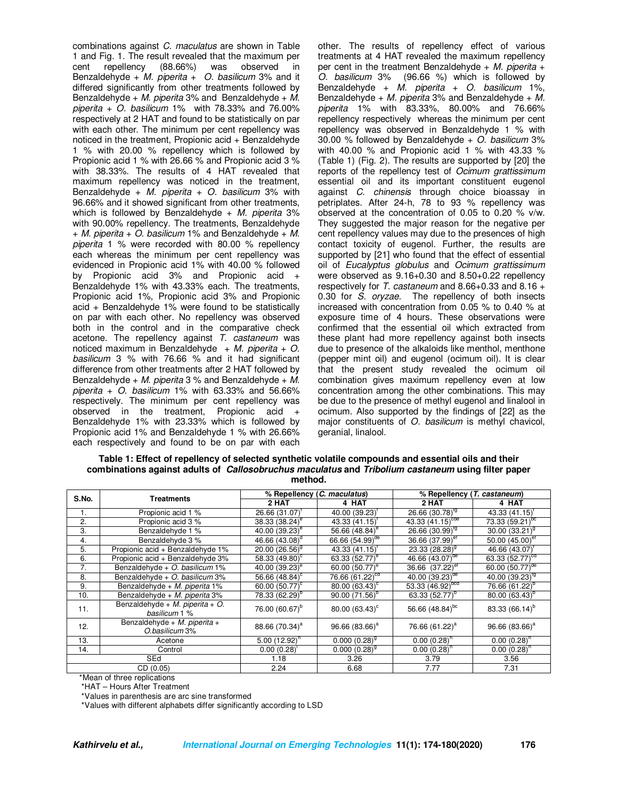combinations against *C. maculatus* are shown in Table 1 and Fig. 1. The result revealed that the maximum per cent repellency Benzaldehyde + *M. piperita* + *O. basilicum* 3% and it differed significantly from other treatments followed by Benzaldehyde + *M. piperita* 3% and Benzaldehyde + *M. piperita* + *O. basilicum* 1% with 78.33% and 76.00% respectively at 2 HAT and found to be statistically on par with each other. The minimum per cent repellency was noticed in the treatment, Propionic acid + Benzaldehyde 1 % with 20.00 % repellency which is followed by Propionic acid 1 % with 26.66 % and Propionic acid 3 % with 38.33%. The results of 4 HAT revealed that maximum repellency was noticed in the treatment, Benzaldehyde + *M. piperita* + *O. basilicum* 3% with 96.66% and it showed significant from other treatments, which is followed by Benzaldehyde + *M. piperita* 3% with 90.00% repellency. The treatments, Benzaldehyde + *M. piperita* + *O. basilicum* 1% and Benzaldehyde + *M. piperita* 1 % were recorded with 80.00 % repellency each whereas the minimum per cent repellency was evidenced in Propionic acid 1% with 40.00 % followed by Propionic acid 3% and Propionic acid + Benzaldehyde 1% with 43.33% each. The treatments, Propionic acid 1%, Propionic acid 3% and Propionic acid + Benzaldehyde 1% were found to be statistically on par with each other. No repellency was observed both in the control and in the comparative check acetone. The repellency against *T. castaneum* was noticed maximum in Benzaldehyde + *M. piperita* + *O. basilicum* 3 % with 76.66 % and it had significant difference from other treatments after 2 HAT followed by Benzaldehyde + *M. piperita* 3 % and Benzaldehyde + *M. piperita* + *O. basilicum* 1% with 63.33% and 56.66% respectively. The minimum per cent repellency was observed in the treatment, Propionic acid + Benzaldehyde 1% with 23.33% which is followed by Propionic acid 1% and Benzaldehyde 1 % with 26.66% each respectively and found to be on par with each

other. The results of repellency effect of various treatments at 4 HAT revealed the maximum repellency per cent in the treatment Benzaldehyde + *M. piperita* + *O. basilicum* 3% (96.66 %) which is followed by Benzaldehyde + *M. piperita* + *O. basilicum* 1%, Benzaldehyde + *M. piperita* 3% and Benzaldehyde + *M. piperita* 1% with 83.33%, 80.00% and 76.66% repellency respectively whereas the minimum per cent repellency was observed in Benzaldehyde 1 % with 30.00 % followed by Benzaldehyde + *O. basilicum* 3% with 40.00 % and Propionic acid 1 % with 43.33 % (Table 1) (Fig. 2). The results are supported by [20] the reports of the repellency test of *Ocimum grattissimum* essential oil and its important constituent eugenol against *C. chinensis* through choice bioassay in petriplates. After 24-h, 78 to 93 % repellency was observed at the concentration of 0.05 to 0.20 % v/w. They suggested the major reason for the negative per cent repellency values may due to the presences of high contact toxicity of eugenol. Further, the results are supported by [21] who found that the effect of essential oil of *Eucalyptus globulus* and *Ocimum grattissimum* were observed as 9.16+0.30 and 8.50+0.22 repellency respectively for *T. castaneum* and 8.66+0.33 and 8.16 + 0.30 for *S. oryzae*. The repellency of both insects increased with concentration from 0.05 % to 0.40 % at exposure time of 4 hours. These observations were confirmed that the essential oil which extracted from these plant had more repellency against both insects due to presence of the alkaloids like menthol, menthone (pepper mint oil) and eugenol (ocimum oil). It is clear that the present study revealed the ocimum oil combination gives maximum repellency even at low concentration among the other combinations. This may be due to the presence of methyl eugenol and linalool in ocimum. Also supported by the findings of [22] as the major constituents of *O. basilicum* is methyl chavicol, geranial, linalool.

| Table 1: Effect of repellency of selected synthetic volatile compounds and essential oils and their              |
|------------------------------------------------------------------------------------------------------------------|
| combinations against adults of <i>Callosobruchus maculatus</i> and <i>Tribolium castaneum</i> using filter paper |
| method.                                                                                                          |

|          | <b>Treatments</b>                                | % Repellency ( <i>C. maculatus</i> ) |                               | % Repellency ( <i>T. castaneum</i> ) |                             |
|----------|--------------------------------------------------|--------------------------------------|-------------------------------|--------------------------------------|-----------------------------|
| S.No.    |                                                  | 2 HAT                                | 4 HAT                         | 2 HAT                                | 4 HAT                       |
| 1.       | Propionic acid 1 %                               | $26.66(31.07)^t$                     | 40.00 (39.23)                 | 26.66 $(30.78)^{10}$                 | 43.33(41.15)                |
| 2.       | Propionic acid 3 %                               | $38.33(38.24)^e$                     | $43.33(41.15)$ <sup>t</sup>   | 43.33 $(41.15)^{cde}$                | $73.33(59.21)^{bc}$         |
| 3.       | Benzaldehyde 1 %                                 | 40.00 (39.23) <sup>e</sup>           | 56.66 (48.84) <sup>e</sup>    | $26.66(30.99)^{19}$                  | $30.00(33.21)^9$            |
| 4.       | Benzaldehyde 3 %                                 | 46.66 (43.08) <sup>d</sup>           | 66.66 $(54.99)$ <sup>de</sup> | 36.66 (37.99) <sup>er</sup>          | 50.00 $(45.00)^{et}$        |
| 5.       | Propionic acid + Benzaldehyde 1%                 | 20.00 $(26.56)^9$                    | $43.33(41.15)$ <sup>t</sup>   | 23.33 $(28.28)^9$                    | 46.66 $(43.07)^{1}$         |
| 6.       | Propionic acid + Benzaldehyde 3%                 | 58.33 (49.80) <sup>c</sup>           | 63.33 (52.77) <sup>e</sup>    | 46.66 $(43.07)^{de}$                 | 63.33 (52.77) <sup>ca</sup> |
| 7.       | Benzaldehyde + O. basilicum 1%                   | 40.00 (39.23) <sup>e</sup>           | 60.00 (50.77) <sup>e</sup>    | 36.66 $(37.22)^{er}$                 | 60.00 (50.77) <sup>de</sup> |
| 8.       | Benzaldehyde + O. basilicum 3%                   | 56.66 $(48.84)$ °                    | $76.66(61.22)^{cd}$           | 40.00 $(39.23)^{de}$                 | 40.00 $(39.23)^{19}$        |
| 9.       | Benzaldehyde + M. piperita 1%                    | 60.00 $(50.77)^{\circ}$              | 80.00 $(63.43)^c$             | 53.33 (46.92) <sup>bcd</sup>         | 76.66 (61.22) <sup>b</sup>  |
| 10.      | Benzaldehyde + M. piperita 3%                    | 78.33 (62.29) <sup>b</sup>           | $90.00(71.56)^{b}$            | 63.33 (52.77) <sup>b</sup>           | $80.00(63.43)^{b}$          |
| 11.      | Benzaldehyde + M. piperita + O.<br>basilicum 1 % | 76.00 (60.67) <sup>b</sup>           | 80.00 (63.43) <sup>c</sup>    | 56.66 (48.84) <sup>bc</sup>          | 83.33 (66.14) <sup>b</sup>  |
| 12.      | Benzaldehyde + M. piperita +<br>O.basilicum 3%   | 88.66 (70.34) <sup>a</sup>           | 96.66 (83.66) <sup>a</sup>    | 76.66 (61.22) <sup>a</sup>           | $96.66(83.66)^a$            |
| 13.      | Acetone                                          | $5.00(12.92)^n$                      | $0.000(0.28)^9$               | $0.00(0.28)^{h}$                     | $0.00(0.28)^n$              |
| 14.      | Control                                          | $0.00(0.28)^{1}$                     | $0.000(0.28)^9$               | $0.00(0.28)^{h}$                     | $0.00(0.28)^{h}$            |
| SEd      |                                                  | 1.18                                 | 3.26                          | 3.79                                 | 3.56                        |
| CD(0.05) |                                                  | 2.24                                 | 6.68                          | 7.77                                 | 7.31                        |

\*Mean of three replications

\*HAT – Hours After Treatment

\*Values in parenthesis are arc sine transformed

\*Values with different alphabets differ significantly according to LSD

**Kathirvelu et al., International Journal on Emerging Technologies 11(1): 174-180(2020) 176**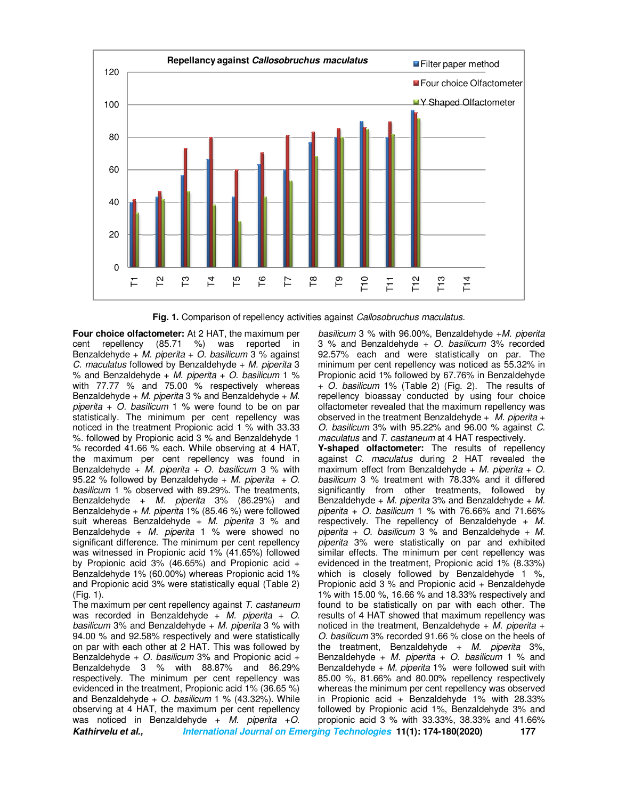

**Fig. 1.** Comparison of repellency activities against *Callosobruchus maculatus.*

**Four choice olfactometer:** At 2 HAT, the maximum per cent repellency (85.71 %) was reported in Benzaldehyde + *M. piperita* + *O. basilicum* 3 % against *C. maculatus* followed by Benzaldehyde + *M. piperita* 3 % and Benzaldehyde + *M. piperita* + *O. basilicum* 1 % with 77.77 % and 75.00 % respectively whereas Benzaldehyde + *M. piperita* 3 % and Benzaldehyde + *M. piperita* + *O. basilicum* 1 % were found to be on par statistically. The minimum per cent repellency was noticed in the treatment Propionic acid 1 % with 33.33 %. followed by Propionic acid 3 % and Benzaldehyde 1 % recorded 41.66 % each. While observing at 4 HAT, the maximum per cent repellency was found in Benzaldehyde + *M. piperita* + *O. basilicum* 3 % with 95.22 % followed by Benzaldehyde + *M. piperita* + *O. basilicum* 1 % observed with 89.29%. The treatments, Benzaldehyde + *M. piperita* 3% (86.29%) and Benzaldehyde + *M. piperita* 1% (85.46 %) were followed suit whereas Benzaldehyde + *M. piperita* 3 % and Benzaldehyde + *M. piperita* 1 % were showed no significant difference. The minimum per cent repellency was witnessed in Propionic acid 1% (41.65%) followed by Propionic acid 3% (46.65%) and Propionic acid + Benzaldehyde 1% (60.00%) whereas Propionic acid 1% and Propionic acid 3% were statistically equal (Table 2) (Fig. 1).

**Kathirvelu et al., International Journal on Emerging Technologies 11(1): 174-180(2020) 177** The maximum per cent repellency against *T. castaneum* was recorded in Benzaldehyde + *M. piperita* + *O. basilicum* 3% and Benzaldehyde + *M. piperita* 3 % with 94.00 % and 92.58% respectively and were statistically on par with each other at 2 HAT. This was followed by Benzaldehyde + *O. basilicum* 3% and Propionic acid + Benzaldehyde 3 % with 88.87% and 86.29% respectively. The minimum per cent repellency was evidenced in the treatment, Propionic acid 1% (36.65 %) and Benzaldehyde + *O. basilicum* 1 % (43.32%). While observing at 4 HAT, the maximum per cent repellency was noticed in Benzaldehyde + *M. piperita* +*O.* 

*basilicum* 3 % with 96.00%, Benzaldehyde +*M. piperita*  3 % and Benzaldehyde + *O. basilicum* 3% recorded 92.57% each and were statistically on par. The minimum per cent repellency was noticed as 55.32% in Propionic acid 1% followed by 67.76% in Benzaldehyde + *O. basilicum* 1% (Table 2) (Fig. 2). The results of repellency bioassay conducted by using four choice olfactometer revealed that the maximum repellency was observed in the treatment Benzaldehyde + *M. piperita* + *O. basilicum* 3% with 95.22% and 96.00 % against *C. maculatus* and *T. castaneum* at 4 HAT respectively. **Y-shaped olfactometer:** The results of repellency against *C. maculatus* during 2 HAT revealed the maximum effect from Benzaldehyde + *M. piperita* + *O. basilicum* 3 % treatment with 78.33% and it differed significantly from other treatments, followed by Benzaldehyde + *M. piperita* 3% and Benzaldehyde + *M. piperita* + *O. basilicum* 1 % with 76.66% and 71.66% respectively. The repellency of Benzaldehyde + *M. piperita* + *O. basilicum* 3 % and Benzaldehyde + *M. piperita* 3% were statistically on par and exhibited similar effects. The minimum per cent repellency was evidenced in the treatment, Propionic acid 1% (8.33%) which is closely followed by Benzaldehyde 1 %, Propionic acid 3 % and Propionic acid + Benzaldehyde 1% with 15.00 %, 16.66 % and 18.33% respectively and found to be statistically on par with each other. The results of 4 HAT showed that maximum repellency was noticed in the treatment, Benzaldehyde + *M. piperita* + *O. basilicum* 3% recorded 91.66 % close on the heels of

the treatment, Benzaldehyde + *M. piperita* 3%, Benzaldehyde + *M. piperita* + *O. basilicum* 1 % and Benzaldehyde + *M. piperita* 1% were followed suit with 85.00 %, 81.66% and 80.00% repellency respectively whereas the minimum per cent repellency was observed in Propionic acid + Benzaldehyde 1% with 28.33% followed by Propionic acid 1%, Benzaldehyde 3% and propionic acid 3 % with 33.33%, 38.33% and 41.66%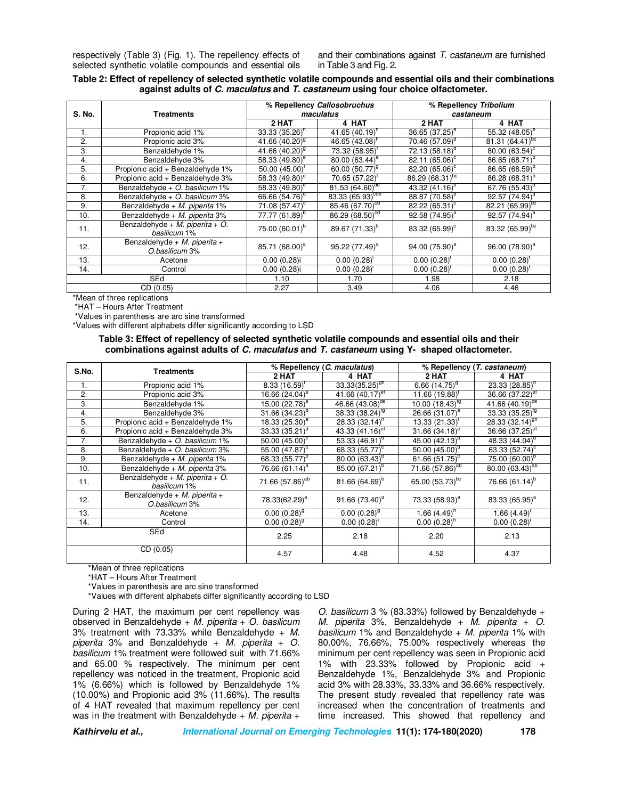respectively (Table 3) (Fig. 1). The repellency effects of selected synthetic volatile compounds and essential oils and their combinations against *T. castaneum* are furnished in Table 3 and Fig. 2.

## **Table 2: Effect of repellency of selected synthetic volatile compounds and essential oils and their combinations against adults of C. maculatus and T. castaneum using four choice olfactometer.**

| S. No.         | <b>Treatments</b>                               | % Repellency Callosobruchus<br>maculatus |                            | % Repellency Tribolium<br>castaneum |                             |
|----------------|-------------------------------------------------|------------------------------------------|----------------------------|-------------------------------------|-----------------------------|
|                |                                                 | 2 HAT                                    | 4 HAT                      | 2 HAT                               | 4 HAT                       |
| $\mathbf{1}$ . | Propionic acid 1%                               | $33.33(35.26)^n$                         | 41.65 $(40.19)^n$          | $36.65(37.25)^e$                    | 55.32 $(48.05)^e$           |
| $\overline{2}$ | Propionic acid 3%                               | 41.66 $(40.20)^9$                        | 46.65 $(43.08)^n$          | $70.46~(57.09)^d$                   | 81.31 $(64.41)^{bc}$        |
| 3.             | Benzaldehvde 1%                                 | 41.66 $(40.20)^9$                        | 73.32 (58.95) <sup>T</sup> | $72.13(58.18)^{\circ}$              | 80.00 (63.54) <sup>c</sup>  |
| 4.             | Benzaldehyde 3%                                 | 58.33 (49.80) <sup>e</sup>               | $80.00(63.44)^e$           | 82.11 (65.06) <sup>c</sup>          | 86.65 (68.71) <sup>p</sup>  |
| 5.             | Propionic acid + Benzaldehyde 1%                | $50.00(45.00)^t$                         | 60.00 (50.77) <sup>9</sup> | 82.20 $(65.06)^{\circ}$             | $86.65(68.59)^b$            |
| 6.             | Propionic acid + Benzaldehyde 3%                | 58.33 (49.80) <sup>e</sup>               | $70.65(57.22)^{1}$         | $86.29(68.31)^{bc}$                 | 86.28 (68.31) <sup>p</sup>  |
| 7.             | Benzaldehyde + O. basilicum 1%                  | 58.33 $(49.80)^e$                        | 81.53 $(64.60)^{de}$       | 43.32 $(41.16)$ <sup>e</sup>        | 67.76 (55.43)               |
| 8.             | Benzaldehyde + O. basilicum 3%                  | 66.66 (54.76) <sup>d</sup>               | 83.33 $(65.93)^{cde}$      | 88.87 (70.58) <sup>b</sup>          | $92.57(74.94)^a$            |
| 9.             | Benzaldehyde + M. piperita 1%                   | $71.08~(57.47)^c$                        | 85.46 $(67.70)^{cd}$       | 82.22 (65.31) <sup>c</sup>          | 82.21 $(65.99)^{bc}$        |
| 10.            | Benzaldehyde + M. piperita 3%                   | 77.77 (61.89) <sup>p</sup>               | $86.29(68.50)^{cd}$        | 92.58 (74.95) <sup>a</sup>          | 92.57 $(74.94)^{a}$         |
| 11.            | Benzaldehyde + M. piperita + O.<br>basilicum 1% | 75.00 (60.01) <sup>b</sup>               | 89.67 (71.33) <sup>b</sup> | 83.32 (65.99) <sup>c</sup>          | 83.32 (65.99) <sup>bc</sup> |
| 12.            | Benzaldehyde + M. piperita +<br>O.basilicum 3%  | 85.71 (68.00) <sup>a</sup>               | 95.22 (77.49) <sup>a</sup> | 94.00 (75.90) <sup>a</sup>          | 96.00 (78.90) <sup>a</sup>  |
| 13.            | Acetone                                         | $0.00(0.28)$ i                           | 0.00(0.28)                 | $0.00(0.28)^{1}$                    | 0.00(0.28)                  |
| 14.            | Control                                         | $0.00(0.28)$ i                           | $0.00(0.28)^{1}$           | $0.00(0.28)^{t}$                    | 0.00(0.28)                  |
| <b>SEd</b>     |                                                 | 1.10                                     | 1.70                       | 1.98                                | 2.18                        |
| CD (0.05)      |                                                 | 2.27                                     | 3.49                       | 4.06                                | 4.46                        |

\*Mean of three replications

\*HAT – Hours After Treatment

\*Values in parenthesis are arc sine transformed

\*Values with different alphabets differ significantly according to LSD

**Table 3: Effect of repellency of selected synthetic volatile compounds and essential oils and their combinations against adults of C. maculatus and T. castaneum using Y- shaped olfactometer.** 

| S.No.     | <b>Treatments</b>                               | % Repellency (C. maculatus) |                                 | % Repellency (T. castaneum)  |                               |
|-----------|-------------------------------------------------|-----------------------------|---------------------------------|------------------------------|-------------------------------|
|           |                                                 | 2 HAT                       | 4 HAT                           | 2 HAT                        | 4 HAT                         |
| 1.        | Propionic acid 1%                               | $8.33(16.59)^t$             | $33.\overline{33(35.25)^{9h}}$  | 6.66 $(14.75)^9$             | $23.33(28.85)^n$              |
| 2.        | Propionic acid 3%                               | 16.66 $(24.04)^e$           | 41.66 $(40.17)$ <sup>et</sup>   | $11.66(19.88)^t$             | 36.66 (37.22) <sup>et</sup>   |
| 3.        | Benzaldehyde 1%                                 | 15.00 (22.78) <sup>e</sup>  | 46.66 $(43.08)^{de}$            | 10.00 $(18.43)^{19}$         | 41.66 $(40.19)$ <sup>de</sup> |
| 4.        | Benzaldehyde 3%                                 | 31.66 $(34.23)^d$           | $38.\overline{33} (38.24)^{19}$ | 26.66 (31.07) <sup>e</sup>   | 33.33 $(35.25)^{19}$          |
| 5.        | Propionic acid + Benzaldehyde 1%                | 18.33 $(25.30)^e$           | $28.33(32.14)^n$                | $13.33(21.33)^{T}$           | 28.33 $(32.14)$ <sup>gh</sup> |
| 6.        | Propionic acid + Benzaldehyde 3%                | $33.33(35.21)^d$            | 43.33 $(41.16)$ <sup>er</sup>   | 31.66 $(34.18)$ <sup>e</sup> | 36.66 (37.25) <sup>et</sup>   |
| 7.        | Benzaldehyde + O. basilicum 1%                  | 50.00 $(45.00)^c$           | $53.\overline{33} (46.91)^d$    | 45.00 $(42.13)^{o}$          | 48.33 (44.04) <sup>°</sup>    |
| 8.        | Benzaldehyde + O. basilicum 3%                  | 55.00 (47.87) <sup>c</sup>  | 68.33 $(55.77)^{\circ}$         | $50.00(45.00)^d$             | 63.33 $(52.74)^c$             |
| 9.        | Benzaldehyde + M. piperita 1%                   | 68.33 (55.77) <sup>b</sup>  | $80.00(63.43)^b$                | 61.66 $(51.75)^{\circ}$      | 75.00 (60.00) <sup>b</sup>    |
| 10.       | Benzaldehyde + M. piperita 3%                   | 76.66 $(61.14)^a$           | 85.00 (67.21) <sup>b</sup>      | 71.66 $(57.86)^{ab}$         | 80.00 $(63.43)^{ab}$          |
| 11.       | Benzaldehyde + M. piperita + O.<br>basilicum 1% | 71.66 (57.86) <sup>ab</sup> | 81.66 (64.69) <sup>b</sup>      | 65.00 (53.73) <sup>bc</sup>  | 76.66 $(61.14)^{b}$           |
| 12.       | Benzaldehyde + M. piperita +<br>O.basilicum 3%  | 78.33(62.29) <sup>a</sup>   | 91.66 $(73.40)^a$               | 73.33 (58.93) <sup>a</sup>   | 83.33 (65.95) <sup>a</sup>    |
| 13.       | Acetone                                         | $0.00(0.28)^9$              | $0.00(0.28)^9$                  | $1.66(4.49)^n$               | 1.66(4.49)                    |
| 14.       | Control                                         | $0.00(0.28)^{9}$            | $0.00(0.28)^{1}$                | $0.00(0.28)^n$               | $0.00(0.28)^{1}$              |
| SEd       |                                                 | 2.25                        | 2.18                            | 2.20                         | 2.13                          |
| CD (0.05) |                                                 | 4.57                        | 4.48                            | 4.52                         | 4.37                          |

\*Mean of three replications

\*HAT – Hours After Treatment

\*Values in parenthesis are arc sine transformed

\*Values with different alphabets differ significantly according to LSD

During 2 HAT, the maximum per cent repellency was observed in Benzaldehyde + *M. piperita* + *O. basilicum*  3% treatment with 73.33% while Benzaldehyde + *M. piperita* 3% and Benzaldehyde + *M. piperita* + *O. basilicum* 1% treatment were followed suit with 71.66% and 65.00 % respectively. The minimum per cent repellency was noticed in the treatment, Propionic acid 1% (6.66%) which is followed by Benzaldehyde 1% (10.00%) and Propionic acid 3% (11.66%). The results of 4 HAT revealed that maximum repellency per cent was in the treatment with Benzaldehyde + *M. piperita* +

*O. basilicum* 3 % (83.33%) followed by Benzaldehyde + *M. piperita* 3%, Benzaldehyde + *M. piperita* + *O. basilicum* 1% and Benzaldehyde + *M. piperita* 1% with 80.00%, 76.66%, 75.00% respectively whereas the minimum per cent repellency was seen in Propionic acid 1% with 23.33% followed by Propionic acid + Benzaldehyde 1%, Benzaldehyde 3% and Propionic acid 3% with 28.33%, 33.33% and 36.66% respectively. The present study revealed that repellency rate was increased when the concentration of treatments and time increased. This showed that repellency and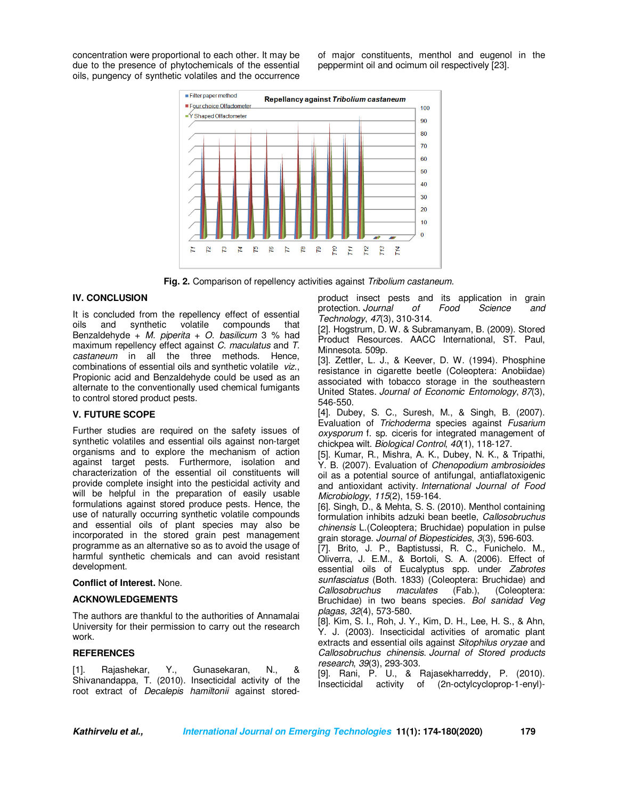concentration were proportional to each other. It may be due to the presence of phytochemicals of the essential oils, pungency of synthetic volatiles and the occurrence of major constituents, menthol and eugenol in the peppermint oil and ocimum oil respectively [23].



**Fig. 2.** Comparison of repellency activities against *Tribolium castaneum.*

#### **IV. CONCLUSION**

It is concluded from the repellency effect of essential oils and synthetic volatile compounds that Benzaldehyde + *M. piperita* + *O. basilicum* 3 % had maximum repellency effect against *C. maculatus* and *T. castaneum* in all the three methods*.* Hence, combinations of essential oils and synthetic volatile *viz*., Propionic acid and Benzaldehyde could be used as an alternate to the conventionally used chemical fumigants to control stored product pests.

## **V. FUTURE SCOPE**

Further studies are required on the safety issues of synthetic volatiles and essential oils against non-target organisms and to explore the mechanism of action against target pests. Furthermore, isolation and characterization of the essential oil constituents will provide complete insight into the pesticidal activity and will be helpful in the preparation of easily usable formulations against stored produce pests. Hence, the use of naturally occurring synthetic volatile compounds and essential oils of plant species may also be incorporated in the stored grain pest management programme as an alternative so as to avoid the usage of harmful synthetic chemicals and can avoid resistant development.

#### **Conflict of Interest.** None.

#### **ACKNOWLEDGEMENTS**

The authors are thankful to the authorities of Annamalai University for their permission to carry out the research work.

### **REFERENCES**

[1]. Rajashekar, Y., Gunasekaran, N., & Shivanandappa, T. (2010). Insecticidal activity of the root extract of *Decalepis hamiltonii* against storedproduct insect pests and its application in grain protection. *Journal of Food Science and Technology*, *47*(3), 310-314.

[2]. Hogstrum, D. W. & Subramanyam, B. (2009). Stored Product Resources. AACC International, ST. Paul, Minnesota. 509p.

[3]. Zettler, L. J., & Keever, D. W. (1994). Phosphine resistance in cigarette beetle (Coleoptera: Anobiidae) associated with tobacco storage in the southeastern United States. *Journal of Economic Entomology*, *87*(3), 546-550.

[4]. Dubey, S. C., Suresh, M., & Singh, B. (2007). Evaluation of *Trichoderma* species against *Fusarium oxysporum* f. sp. ciceris for integrated management of chickpea wilt. *Biological Control*, *40*(1), 118-127.

[5]. Kumar, R., Mishra, A. K., Dubey, N. K., & Tripathi, Y. B. (2007). Evaluation of *Chenopodium ambrosioides* oil as a potential source of antifungal, antiaflatoxigenic and antioxidant activity. *International Journal of Food Microbiology*, *115*(2), 159-164.

[6]. Singh, D., & Mehta, S. S. (2010). Menthol containing formulation inhibits adzuki bean beetle, *Callosobruchus chinensis* L.(Coleoptera; Bruchidae) population in pulse grain storage. *Journal of Biopesticides*, *3*(3), 596-603.

[7]. Brito, J. P., Baptistussi, R. C., Funichelo. M., Oliverra, J. E.M., & Bortoli, S. A. (2006). Effect of essential oils of Eucalyptus spp. under *Zabrotes sunfasciatus* (Both. 1833) (Coleoptera: Bruchidae) and *Callosobruchus maculates* (Fab.), (Coleoptera: Bruchidae) in two beans species. *Bol sanidad Veg plagas, 32*(4), 573-580.

[8]. Kim, S. I., Roh, J. Y., Kim, D. H., Lee, H. S., & Ahn, Y. J. (2003). Insecticidal activities of aromatic plant extracts and essential oils against *Sitophilus oryzae* and *Callosobruchus chinensis*. *Journal of Stored products research*, *39*(3), 293-303.

[9]. Rani, P. U., & Rajasekharreddy, P. (2010). Insecticidal activity of (2n-octylcycloprop-1-enyl)-